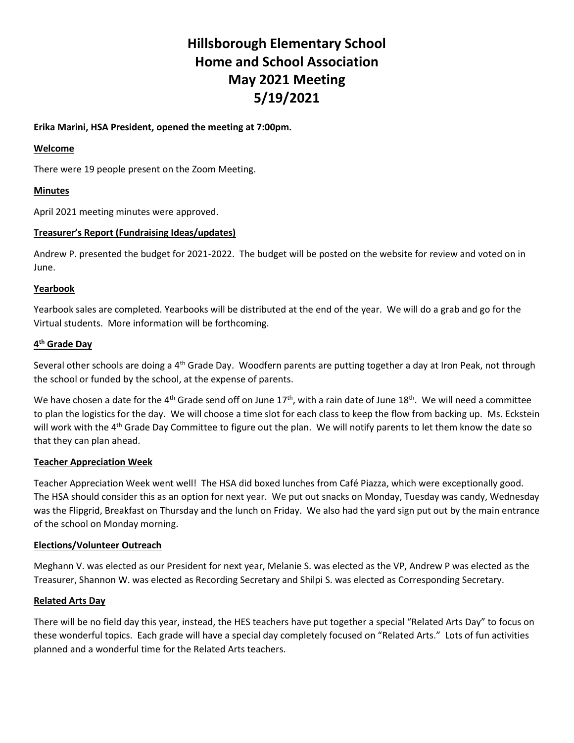# **Hillsborough Elementary School Home and School Association May 2021 Meeting 5/19/2021**

## **Erika Marini, HSA President, opened the meeting at 7:00pm.**

### **Welcome**

There were 19 people present on the Zoom Meeting.

# **Minutes**

April 2021 meeting minutes were approved.

## **Treasurer's Report (Fundraising Ideas/updates)**

Andrew P. presented the budget for 2021-2022. The budget will be posted on the website for review and voted on in June.

## **Yearbook**

Yearbook sales are completed. Yearbooks will be distributed at the end of the year. We will do a grab and go for the Virtual students. More information will be forthcoming.

## **4 th Grade Day**

Several other schools are doing a 4<sup>th</sup> Grade Day. Woodfern parents are putting together a day at Iron Peak, not through the school or funded by the school, at the expense of parents.

We have chosen a date for the 4<sup>th</sup> Grade send off on June  $17<sup>th</sup>$ , with a rain date of June  $18<sup>th</sup>$ . We will need a committee to plan the logistics for the day. We will choose a time slot for each class to keep the flow from backing up. Ms. Eckstein will work with the  $4<sup>th</sup>$  Grade Day Committee to figure out the plan. We will notify parents to let them know the date so that they can plan ahead.

#### **Teacher Appreciation Week**

Teacher Appreciation Week went well! The HSA did boxed lunches from Café Piazza, which were exceptionally good. The HSA should consider this as an option for next year. We put out snacks on Monday, Tuesday was candy, Wednesday was the Flipgrid, Breakfast on Thursday and the lunch on Friday. We also had the yard sign put out by the main entrance of the school on Monday morning.

#### **Elections/Volunteer Outreach**

Meghann V. was elected as our President for next year, Melanie S. was elected as the VP, Andrew P was elected as the Treasurer, Shannon W. was elected as Recording Secretary and Shilpi S. was elected as Corresponding Secretary.

# **Related Arts Day**

There will be no field day this year, instead, the HES teachers have put together a special "Related Arts Day" to focus on these wonderful topics. Each grade will have a special day completely focused on "Related Arts." Lots of fun activities planned and a wonderful time for the Related Arts teachers.